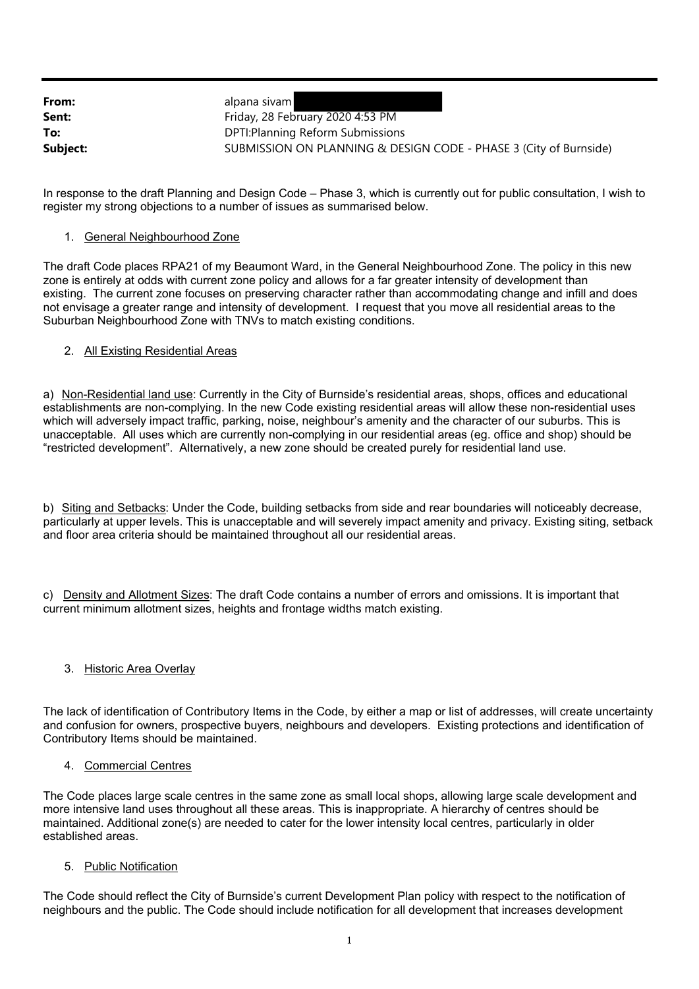| From:    | alpana sivam                                                      |
|----------|-------------------------------------------------------------------|
| Sent:    | Friday, 28 February 2020 4:53 PM                                  |
| To:      | DPTI: Planning Reform Submissions                                 |
| Subject: | SUBMISSION ON PLANNING & DESIGN CODE - PHASE 3 (City of Burnside) |

In response to the draft Planning and Design Code – Phase 3, which is currently out for public consultation, I wish to register my strong objections to a number of issues as summarised below.

### 1. General Neighbourhood Zone

The draft Code places RPA21 of my Beaumont Ward, in the General Neighbourhood Zone. The policy in this new zone is entirely at odds with current zone policy and allows for a far greater intensity of development than existing. The current zone focuses on preserving character rather than accommodating change and infill and does not envisage a greater range and intensity of development. I request that you move all residential areas to the Suburban Neighbourhood Zone with TNVs to match existing conditions.

# 2. All Existing Residential Areas

a) Non-Residential land use: Currently in the City of Burnside's residential areas, shops, offices and educational establishments are non-complying. In the new Code existing residential areas will allow these non-residential uses which will adversely impact traffic, parking, noise, neighbour's amenity and the character of our suburbs. This is unacceptable. All uses which are currently non-complying in our residential areas (eg. office and shop) should be "restricted development". Alternatively, a new zone should be created purely for residential land use.

b) Siting and Setbacks: Under the Code, building setbacks from side and rear boundaries will noticeably decrease, particularly at upper levels. This is unacceptable and will severely impact amenity and privacy. Existing siting, setback and floor area criteria should be maintained throughout all our residential areas.

c) Density and Allotment Sizes: The draft Code contains a number of errors and omissions. It is important that current minimum allotment sizes, heights and frontage widths match existing.

#### 3. Historic Area Overlay

The lack of identification of Contributory Items in the Code, by either a map or list of addresses, will create uncertainty and confusion for owners, prospective buyers, neighbours and developers. Existing protections and identification of Contributory Items should be maintained.

#### 4. Commercial Centres

The Code places large scale centres in the same zone as small local shops, allowing large scale development and more intensive land uses throughout all these areas. This is inappropriate. A hierarchy of centres should be maintained. Additional zone(s) are needed to cater for the lower intensity local centres, particularly in older established areas.

#### 5. Public Notification

The Code should reflect the City of Burnside's current Development Plan policy with respect to the notification of neighbours and the public. The Code should include notification for all development that increases development